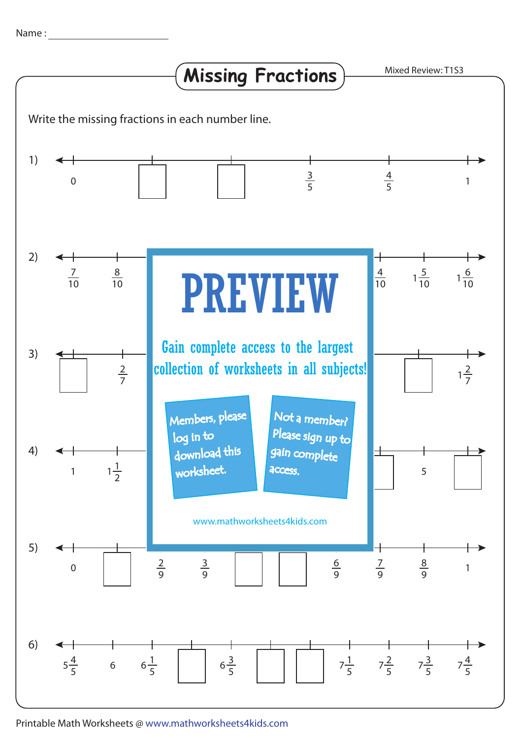